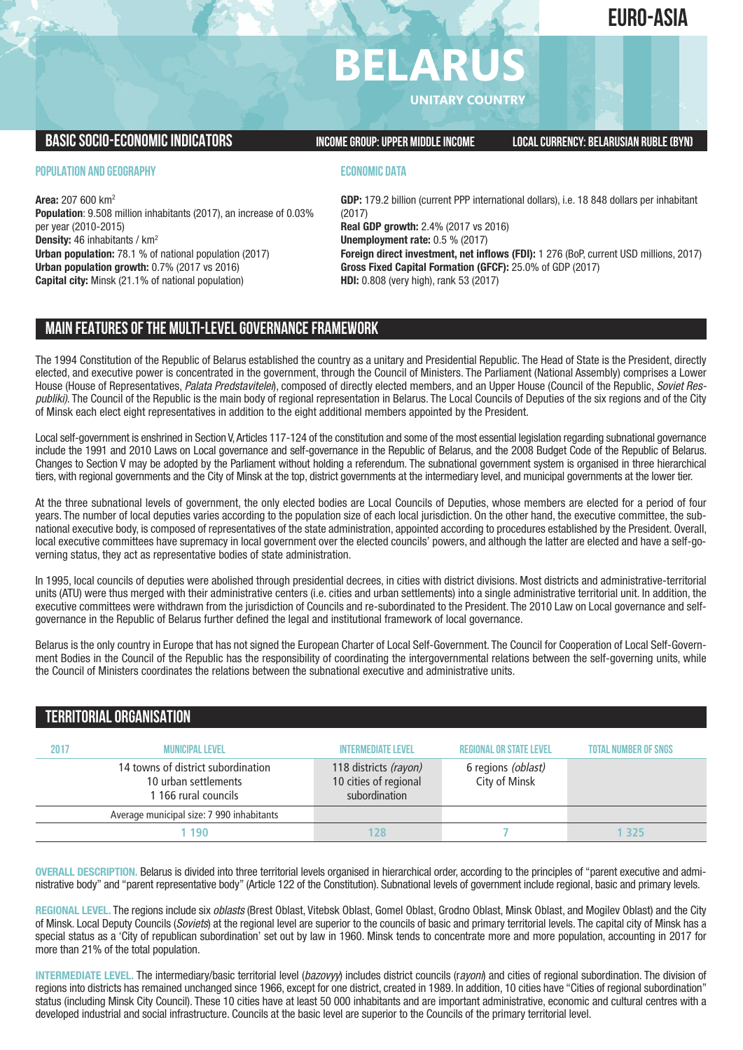# **EURO-ASIA**

# **BELARU**

**UNITARY COUNTRY**

# **BASICSOCIO-ECONOMICINDICATORS INCOMEGROUP:UPPER MIDDLEINCOME LOCALCURRENCY: BELARUSIAN RUBLE(BYN)**

#### **POPULATION AND GEOGRAPHY**

**Area:** 207 600 km2 **Population**: 9.508 million inhabitants (2017), an increase of 0.03% per year (2010-2015) **Density:** 46 inhabitants / km2 **Urban population:** 78.1 % of national population (2017) **Urban population growth:** 0.7% (2017 vs 2016) **Capital city:** Minsk (21.1% of national population)

## **ECONOMIC DATA**

**GDP:** 179.2 billion (current PPP international dollars), i.e. 18 848 dollars per inhabitant (2017) **Real GDP growth:** 2.4% (2017 vs 2016) **Unemployment rate:** 0.5 % (2017) **Foreign direct investment, net inflows (FDI):** 1 276 (BoP, current USD millions, 2017) **Gross Fixed Capital Formation (GFCF):** 25.0% of GDP (2017) **HDI:** 0.808 (very high), rank 53 (2017)

# **MAIN FEATURESOFTHE MULTI-LEVELGOVERNANCEFRAMEWORK**

The 1994 Constitution of the Republic of Belarus established the country as a unitary and Presidential Republic. The Head of State is the President, directly elected, and executive power is concentrated in the government, through the Council of Ministers. The Parliament (National Assembly) comprises a Lower House (House of Representatives, *Palata Predstavitelei*), composed of directly elected members, and an Upper House (Council of the Republic, *Soviet Respubliki)*. The Council of the Republic is the main body of regional representation in Belarus. The Local Councils of Deputies of the six regions and of the City of Minsk each elect eight representatives in addition to the eight additional members appointed by the President.

Local self-government is enshrined in Section V,Articles 117-124 of the constitution and some of the most essential legislation regarding subnational governance include the 1991 and 2010 Laws on Local governance and self-governance in the Republic of Belarus, and the 2008 Budget Code of the Republic of Belarus. Changes to Section V may be adopted by the Parliament without holding a referendum. The subnational government system is organised in three hierarchical tiers, with regional governments and the City of Minsk at the top, district governments at the intermediary level, and municipal governments at the lower tier.

At the three subnational levels of government, the only elected bodies are Local Councils of Deputies, whose members are elected for a period of four years. The number of local deputies varies according to the population size of each local jurisdiction. On the other hand, the executive committee, the subnational executive body, is composed of representatives of the state administration, appointed according to procedures established by the President. Overall, local executive committees have supremacy in local government over the elected councils' powers, and although the latter are elected and have a self-governing status, they act as representative bodies of state administration.

In 1995, local councils of deputies were abolished through presidential decrees, in cities with district divisions. Most districts and administrative-territorial units (ATU) were thus merged with their administrative centers (i.e. cities and urban settlements) into a single administrative territorial unit. In addition, the executive committees were withdrawn from the jurisdiction of Councils and re-subordinated to the President. The 2010 Law on Local governance and selfgovernance in the Republic of Belarus further defined the legal and institutional framework of local governance.

Belarus is the only country in Europe that has not signed the European Charter of Local Self-Government. The Council for Cooperation of Local Self-Government Bodies in the Council of the Republic has the responsibility of coordinating the intergovernmental relations between the self-governing units, while the Council of Ministers coordinates the relations between the subnational executive and administrative units.

# **TERRITORIALORGANISATION**

| 2017 | <b>MUNICIPAL LEVEL</b>                                                             | <b>INTERMEDIATE LEVEL</b>                                       | <b>REGIONAL OR STATE LEVEL</b>      | <b>TOTAL NUMBER OF SNGS</b> |
|------|------------------------------------------------------------------------------------|-----------------------------------------------------------------|-------------------------------------|-----------------------------|
|      | 14 towns of district subordination<br>10 urban settlements<br>1 166 rural councils | 118 districts (rayon)<br>10 cities of regional<br>subordination | 6 regions (oblast)<br>City of Minsk |                             |
|      | Average municipal size: 7 990 inhabitants                                          |                                                                 |                                     |                             |
|      | 190                                                                                | 28                                                              |                                     | 325                         |

**OVERALL DESCRIPTION.** Belarus is divided into three territorial levels organised in hierarchical order, according to the principles of "parent executive and administrative body" and "parent representative body" (Article 122 of the Constitution). Subnational levels of government include regional, basic and primary levels.

**REGIONAL LEVEL.** The regions include six *oblasts* (Brest Oblast, Vitebsk Oblast, Gomel Oblast, Grodno Oblast, Minsk Oblast, and Mogilev Oblast) and the City of Minsk. Local Deputy Councils (*Soviets*) at the regional level are superior to the councils of basic and primary territorial levels. The capital city of Minsk has a special status as a 'City of republican subordination' set out by law in 1960. Minsk tends to concentrate more and more population, accounting in 2017 for more than 21% of the total population.

**INTERMEDIATE LEVEL.** The intermediary/basic territorial level (*bazovyy*) includes district councils (r*ayoni*) and cities of regional subordination. The division of regions into districts has remained unchanged since 1966, except for one district, created in 1989. In addition, 10 cities have "Cities of regional subordination" status (including Minsk City Council). These 10 cities have at least 50 000 inhabitants and are important administrative, economic and cultural centres with a developed industrial and social infrastructure. Councils at the basic level are superior to the Councils of the primary territorial level.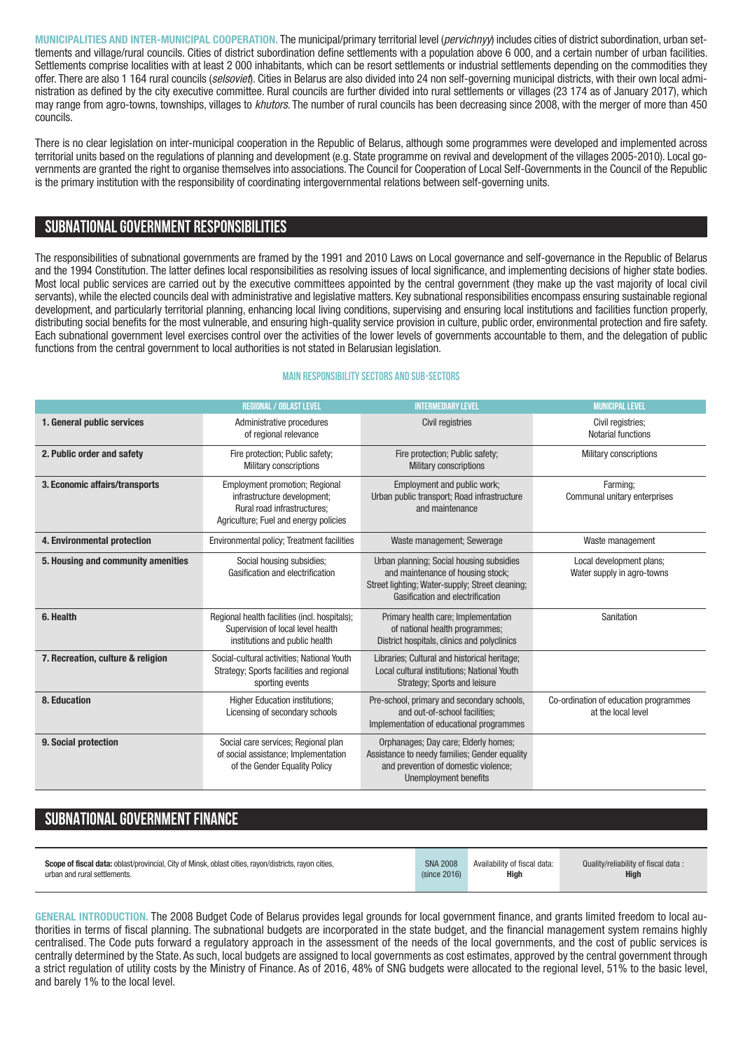**MUNICIPALITIES AND INTER-MUNICIPAL COOPERATION.** The municipal/primary territorial level (*pervichnyy*) includes cities of district subordination, urban settlements and village/rural councils. Cities of district subordination define settlements with a population above 6 000, and a certain number of urban facilities. Settlements comprise localities with at least 2 000 inhabitants, which can be resort settlements or industrial settlements depending on the commodities they offer. There are also 1 164 rural councils (*selsoviet*). Cities in Belarus are also divided into 24 non self-governing municipal districts, with their own local administration as defined by the city executive committee. Rural councils are further divided into rural settlements or villages (23 174 as of January 2017), which may range from agro-towns, townships, villages to *khutors*. The number of rural councils has been decreasing since 2008, with the merger of more than 450 councils.

There is no clear legislation on inter-municipal cooperation in the Republic of Belarus, although some programmes were developed and implemented across territorial units based on the regulations of planning and development (e.g. State programme on revival and development of the villages 2005-2010). Local governments are granted the right to organise themselves into associations. The Council for Cooperation of Local Self-Governments in the Council of the Republic is the primary institution with the responsibility of coordinating intergovernmental relations between self-governing units.

# **SUBNATIONALGOVERNMENT RESPONSIBILITIES**

The responsibilities of subnational governments are framed by the 1991 and 2010 Laws on Local governance and self-governance in the Republic of Belarus and the 1994 Constitution. The latter defines local responsibilities as resolving issues of local significance, and implementing decisions of higher state bodies. Most local public services are carried out by the executive committees appointed by the central government (they make up the vast majority of local civil servants), while the elected councils deal with administrative and legislative matters. Key subnational responsibilities encompass ensuring sustainable regional development, and particularly territorial planning, enhancing local living conditions, supervising and ensuring local institutions and facilities function properly, distributing social benefits for the most vulnerable, and ensuring high-quality service provision in culture, public order, environmental protection and fire safety. Each subnational government level exercises control over the activities of the lower levels of governments accountable to them, and the delegation of public functions from the central government to local authorities is not stated in Belarusian legislation.

## **Main responsibilitysectors and sub-sectors**

|                                    | <b>REGIONAL / OBLAST LEVEL</b>                                                                                                               | <b>INTERMEDIARY LEVEL</b>                                                                                                                                            | <b>MUNICIPAL LEVEL</b>                                      |
|------------------------------------|----------------------------------------------------------------------------------------------------------------------------------------------|----------------------------------------------------------------------------------------------------------------------------------------------------------------------|-------------------------------------------------------------|
| 1. General public services         | Administrative procedures<br>of regional relevance                                                                                           | <b>Civil registries</b>                                                                                                                                              | Civil registries:<br><b>Notarial functions</b>              |
| 2. Public order and safety         | Fire protection; Public safety;<br><b>Military conscriptions</b>                                                                             | Fire protection; Public safety;<br><b>Military conscriptions</b>                                                                                                     | Military conscriptions                                      |
| 3. Economic affairs/transports     | <b>Employment promotion; Regional</b><br>infrastructure development;<br>Rural road infrastructures:<br>Agriculture; Fuel and energy policies | Employment and public work;<br>Urban public transport; Road infrastructure<br>and maintenance                                                                        | Farming:<br>Communal unitary enterprises                    |
| 4. Environmental protection        | Environmental policy; Treatment facilities                                                                                                   | Waste management; Sewerage                                                                                                                                           | Waste management                                            |
| 5. Housing and community amenities | Social housing subsidies;<br>Gasification and electrification                                                                                | Urban planning; Social housing subsidies<br>and maintenance of housing stock;<br>Street lighting; Water-supply; Street cleaning;<br>Gasification and electrification | Local development plans;<br>Water supply in agro-towns      |
| 6. Health                          | Regional health facilities (incl. hospitals);<br>Supervision of local level health<br>institutions and public health                         | Primary health care; Implementation<br>of national health programmes;<br>District hospitals, clinics and polyclinics                                                 | Sanitation                                                  |
| 7. Recreation, culture & religion  | Social-cultural activities; National Youth<br>Strategy; Sports facilities and regional<br>sporting events                                    | Libraries; Cultural and historical heritage;<br>Local cultural institutions; National Youth<br><b>Strategy: Sports and leisure</b>                                   |                                                             |
| 8. Education                       | <b>Higher Education institutions:</b><br>Licensing of secondary schools                                                                      | Pre-school, primary and secondary schools,<br>and out-of-school facilities:<br>Implementation of educational programmes                                              | Co-ordination of education programmes<br>at the local level |
| 9. Social protection               | Social care services; Regional plan<br>of social assistance; Implementation<br>of the Gender Equality Policy                                 | Orphanages; Day care; Elderly homes;<br>Assistance to needy families; Gender equality<br>and prevention of domestic violence;<br><b>Unemployment benefits</b>        |                                                             |

# **SUBNATIONAL GOVERNMENT FINANCE**

| <b>Scope of fiscal data:</b> oblast/provincial. City of Minsk, oblast cities, rayon/districts, rayon cities, | <b>SNA 2008</b> | Availability of fiscal data: | Quality/reliability of fiscal data: |
|--------------------------------------------------------------------------------------------------------------|-----------------|------------------------------|-------------------------------------|
| urban and rural settlements.                                                                                 | (since 2016)    | High                         | <b>High</b>                         |
|                                                                                                              |                 |                              |                                     |

**GENERAL INTRODUCTION.** The 2008 Budget Code of Belarus provides legal grounds for local government finance, and grants limited freedom to local authorities in terms of fiscal planning. The subnational budgets are incorporated in the state budget, and the financial management system remains highly centralised. The Code puts forward a regulatory approach in the assessment of the needs of the local governments, and the cost of public services is centrally determined by the State. As such, local budgets are assigned to local governments as cost estimates, approved by the central government through a strict regulation of utility costs by the Ministry of Finance. As of 2016, 48% of SNG budgets were allocated to the regional level, 51% to the basic level, and barely 1% to the local level.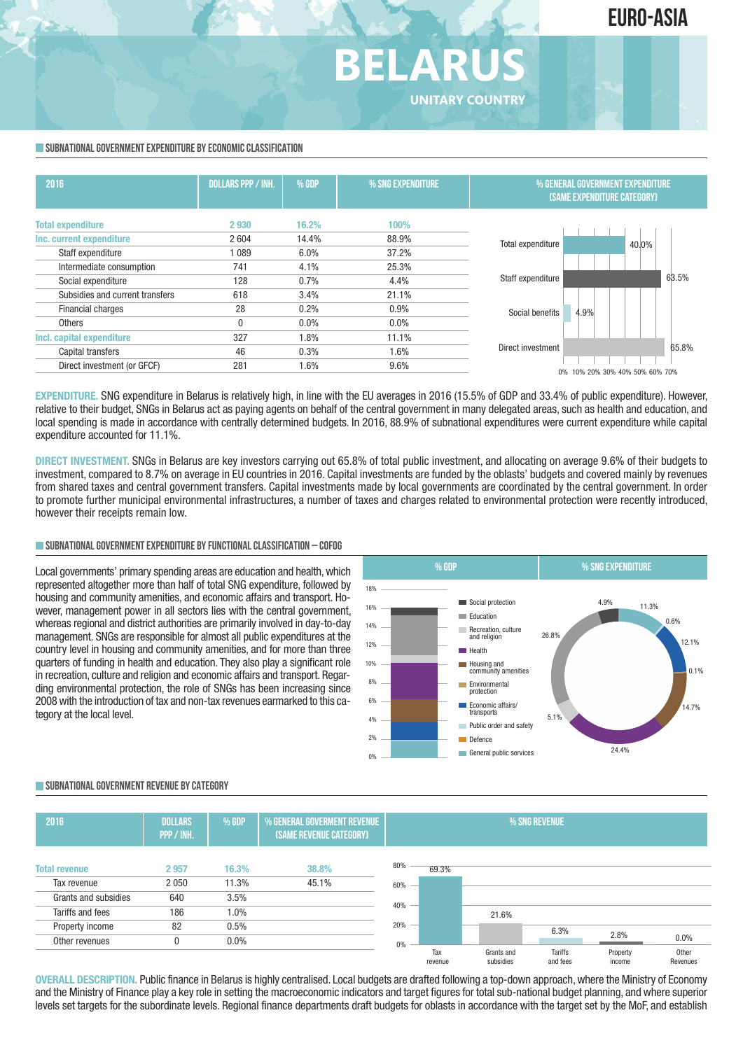#### **SUBNATIONAL GOVERNMENT EXPENDITURE BY ECONOMIC CLASSIFICATION**

| 2016                            | <b>DOLLARS PPP / INH.</b> | $%$ GDP | % SNG EXPENDITURE | % GENERAL GOVERNMENT EXPENDITURE<br><b>(SAME EXPENDITURE CATEGORY)</b> |       |
|---------------------------------|---------------------------|---------|-------------------|------------------------------------------------------------------------|-------|
| <b>Total expenditure</b>        | 2930                      | 16.2%   | 100%              |                                                                        |       |
| Inc. current expenditure        | 2604                      | 14.4%   | 88.9%             | Total expenditure                                                      | 40.0% |
| Staff expenditure               | 1 0 8 9                   | 6.0%    | 37.2%             |                                                                        |       |
| Intermediate consumption        | 741                       | 4.1%    | 25.3%             |                                                                        |       |
| Social expenditure              | 128                       | 0.7%    | 4.4%              | Staff expenditure                                                      | 63.5% |
| Subsidies and current transfers | 618                       | 3.4%    | 21.1%             |                                                                        |       |
| Financial charges               | 28                        | 0.2%    | 0.9%              | 4.9%<br>Social benefits                                                |       |
| <b>Others</b>                   | 0                         | $0.0\%$ | $0.0\%$           |                                                                        |       |
| Incl. capital expenditure       | 327                       | 1.8%    | 11.1%             |                                                                        |       |
| Capital transfers               | 46                        | 0.3%    | 1.6%              | Direct investment                                                      | 65.8% |
| Direct investment (or GFCF)     | 281                       | 1.6%    | 9.6%              | 0% 10% 20% 30% 40% 50% 60% 70%                                         |       |

**BELARUS**

**UNITARY COUNTRY**

**EXPENDITURE.** SNG expenditure in Belarus is relatively high, in line with the EU averages in 2016 (15.5% of GDP and 33.4% of public expenditure). However, relative to their budget, SNGs in Belarus act as paying agents on behalf of the central government in many delegated areas, such as health and education, and local spending is made in accordance with centrally determined budgets. In 2016, 88.9% of subnational expenditures were current expenditure while capital expenditure accounted for 11.1%.

**DIRECT INVESTMENT.** SNGs in Belarus are key investors carrying out 65.8% of total public investment, and allocating on average 9.6% of their budgets to investment, compared to 8.7% on average in EU countries in 2016. Capital investments are funded by the oblasts' budgets and covered mainly by revenues from shared taxes and central government transfers. Capital investments made by local governments are coordinated by the central government. In order to promote further municipal environmental infrastructures, a number of taxes and charges related to environmental protection were recently introduced, however their receipts remain low.

#### **SUBNATIONALGOVERNMENTEXPENDITURE BYFUNCTIONALCLASSIFICATION – COFOG**

Local governments' primary spending areas are education and health, which represented altogether more than half of total SNG expenditure, followed by housing and community amenities, and economic affairs and transport. However, management power in all sectors lies with the central government, whereas regional and district authorities are primarily involved in day-to-day management. SNGs are responsible for almost all public expenditures at the country level in housing and community amenities, and for more than three quarters of funding in health and education. They also play a significant role in recreation, culture and religion and economic affairs and transport. Regarding environmental protection, the role of SNGs has been increasing since 2008 with the introduction of tax and non-tax revenues earmarked to this category at the local level.



#### **SUBNATIONALGOVERNMENT REVENUE BYCATEGORY**



**OVERALL DESCRIPTION.** Public finance in Belarus is highly centralised. Local budgets are drafted following a top-down approach,where the Ministry of Economy and the Ministry of Finance play a key role in setting the macroeconomic indicators and target figures for total sub-national budget planning, and where superior levels set targets for the subordinate levels. Regional finance departments draft budgets for oblasts in accordance with the target set by the MoF, and establish